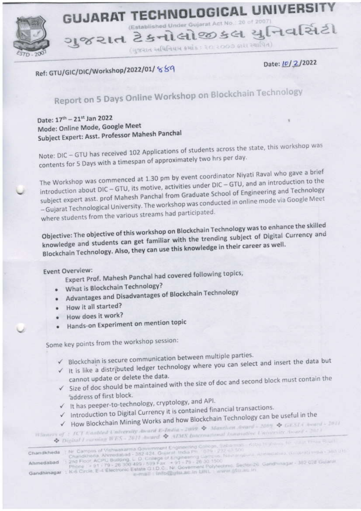## **GUJARAT TECHNOLOGICAL UNIVERSI** (Established Under Gujarat Act No.: 20 of 2007)

ગુજરાત ટેકનોલોજીકલ યુનિવર્સિટી (मुकसत स्वधिनियम क्रमोंड: २० २००७ क्षस स्थापित)

Ref: GTU/GIC/DIC/Workshop/2022/01/ 889

Date: 10/2/2022

## Report on 5 Days Online Workshop on Blockchain Technology

Date: 17<sup>th</sup> - 21<sup>st</sup> Jan 2022 Mode: Online Mode, Google Meet Subject Expert: Asst. Professor Mahesh Panchal

Note: DIC - GTU has received 102 Applications of students across the state, this workshop was contents for 5 Days with a timespan of approximately two hrs per day.

The Workshop was commenced at 1.30 pm by event coordinator Niyati Raval who gave a brief introduction about DIC - GTU, its motive, activities under DIC - GTU, and an introduction to the subject expert asst. prof Mahesh Panchal from Graduate School of Engineering and Technology - Gujarat Technological University. The workshop was conducted in online mode via Google Meet where students from the various streams had participated.

Objective: The objective of this workshop on Blockchain Technology was to enhance the skilled knowledge and students can get familiar with the trending subject of Digital Currency and Blockchain Technology. Also, they can use this knowledge in their career as well.

**Event Overview:** 

Expert Prof. Mahesh Panchal had covered following topics,

- What is Blockchain Technology?
- Advantages and Disadvantages of Blockchain Technology
- How it all started?
- How does it work?
- Hands-on Experiment on mention topic

Some key points from the workshop session:

- Blockchain is secure communication between multiple parties.
- v It is like a distributed ledger technology where you can select and insert the data but cannot update or delete the data.
- Size of doc should be maintained with the size of doc and second block must contain the address of first block.
- √ It has peeper-to-technology, cryptology, and API.
- Introduction to Digital Currency it is contained financial transactions.
- √ How Blockchain Mining Works and how Blockchain Technology can be useful in the

 $It is never of: ICTk and lead University, should k-India-2009. \Leftrightarrow Mandian Avard-2009. \Leftrightarrow GKSL(1) and -2011$ wing WES - 2011 Award.  $\blacklozenge$  ATMS International Innovative University Award - 2011

| Chandkheda : Nr Campirs of Vishwakarma Government Engineering College, Sabarman Robert Miller in the<br>Chandkheda, Ahmedatad - 382-424, Gujarat, India Ph. - 07% - 232-63-500<br>Ahmedabad : 2nd Floor ACPU Building, L. D. College of Engineshog Campus. Newtongover, Ahmedahab, Googlest India - Jeanuth |
|-------------------------------------------------------------------------------------------------------------------------------------------------------------------------------------------------------------------------------------------------------------------------------------------------------------|
| Phone - 91 - 79 - 26 100 489 - 599 Fax + 91 - 79 - 26 30 1500<br>Gandhinagar : K-6 Circle, E-4 Electronic Estate G I.D.C., Nr. Governord Polytechnic, Sector-26, Gandhinagar - 362 022 Guarus                                                                                                               |
|                                                                                                                                                                                                                                                                                                             |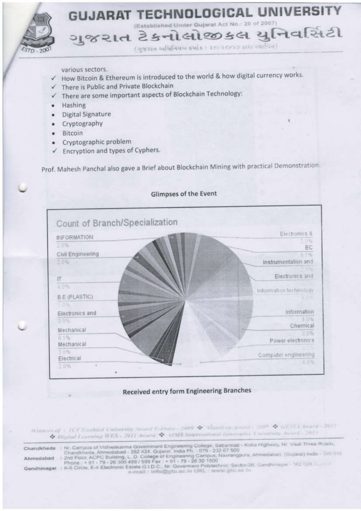

various sectors.

- How Bitcoin & Ethereum is introduced to the world & how digital currency works.
- There is Public and Private Blockchain
- There are some important aspects of Blockchain Technology:
- Hashing  $\bullet$
- Digital Signature  $\bullet$
- Cryptography  $\bullet$
- Bitcoin  $\bullet$
- Cryptographic problem
- Encryption and types of Cyphers.

Prof. Mahesh Panchal also gave a Brief about Blockchain Mining with practical Demonstration.



## **Received entry form Engineering Branches**

Winners of : ICT Laubled University Award E-Doute - 2009 & Manthan Journe - 2009 & GESTA Award - 2011 Digital Learning WES - 2011 Award & AIMS International Internative University Award - 2013

| Chandkheda  | - Nr. Campus of Vishwakarma Government Engineering College, Sabarmati - Koba Highway, Nr. Visat Three Roads,<br>Chandkheda, Ahmedabad - 382 424, Gujarat, India Ph. 079 - 232 67 500 |
|-------------|--------------------------------------------------------------------------------------------------------------------------------------------------------------------------------------|
| Ahmedabad   | : 2nd Floor, ACPC Building, L. D. College of Engineering Campus, Navrangpura, Ahmedabad, (Gujarat) India - 300:015<br>Phone: +91 - 79 - 26 300 499 / 599 Fax: +91 - 79 - 26 30 1500  |
| Gandhinagar | : K-6 Circle, E-4 Electronic Estate G.I.D.C., Nr. Governent Polytechnic, Sector-26, Gandhinagar - 382 028 C., Turk<br>e-mail : info@gtu.ac.in URL : www.gtu.ac.in                    |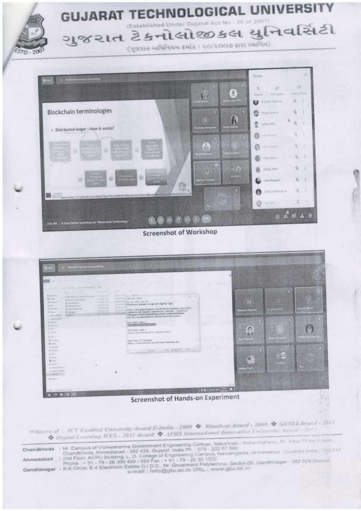

Screenshot of Workshop



Winners of: ICT Caabled University Award E-India - 2009 \* Manthan Award - 2009 \* GESIA Award - 2011 Digital Learning WES - 2011 Award & AIMS International Innovative University Award - 2813